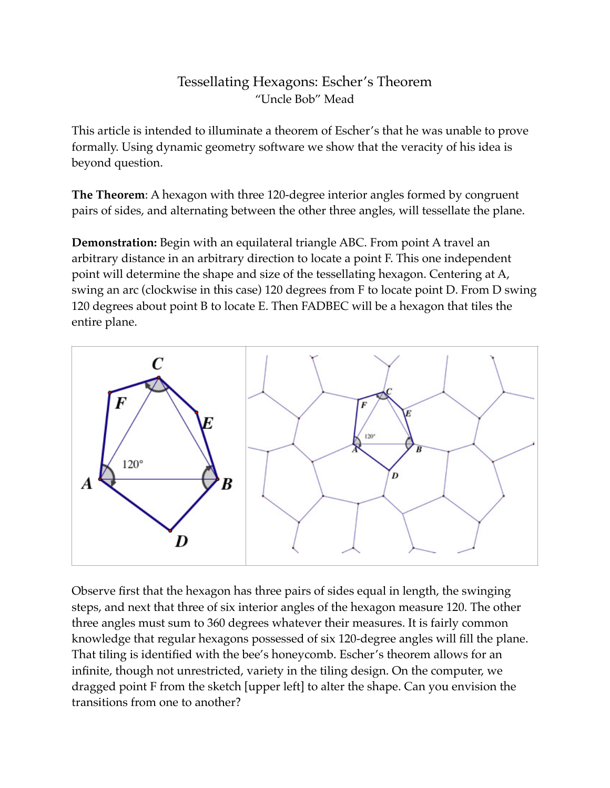## Tessellating Hexagons: Escher's Theorem "Uncle Bob" Mead

This article is intended to illuminate a theorem of Escher's that he was unable to prove formally. Using dynamic geometry software we show that the veracity of his idea is beyond question.

**The Theorem**: A hexagon with three 120-degree interior angles formed by congruent pairs of sides, and alternating between the other three angles, will tessellate the plane.

**Demonstration:** Begin with an equilateral triangle ABC. From point A travel an arbitrary distance in an arbitrary direction to locate a point F. This one independent point will determine the shape and size of the tessellating hexagon. Centering at A, swing an arc (clockwise in this case) 120 degrees from F to locate point D. From D swing 120 degrees about point B to locate E. Then FADBEC will be a hexagon that tiles the entire plane.



Observe first that the hexagon has three pairs of sides equal in length, the swinging steps, and next that three of six interior angles of the hexagon measure 120. The other three angles must sum to 360 degrees whatever their measures. It is fairly common knowledge that regular hexagons possessed of six 120-degree angles will fill the plane. That tiling is identified with the bee's honeycomb. Escher's theorem allows for an infinite, though not unrestricted, variety in the tiling design. On the computer, we dragged point F from the sketch [upper left] to alter the shape. Can you envision the transitions from one to another?